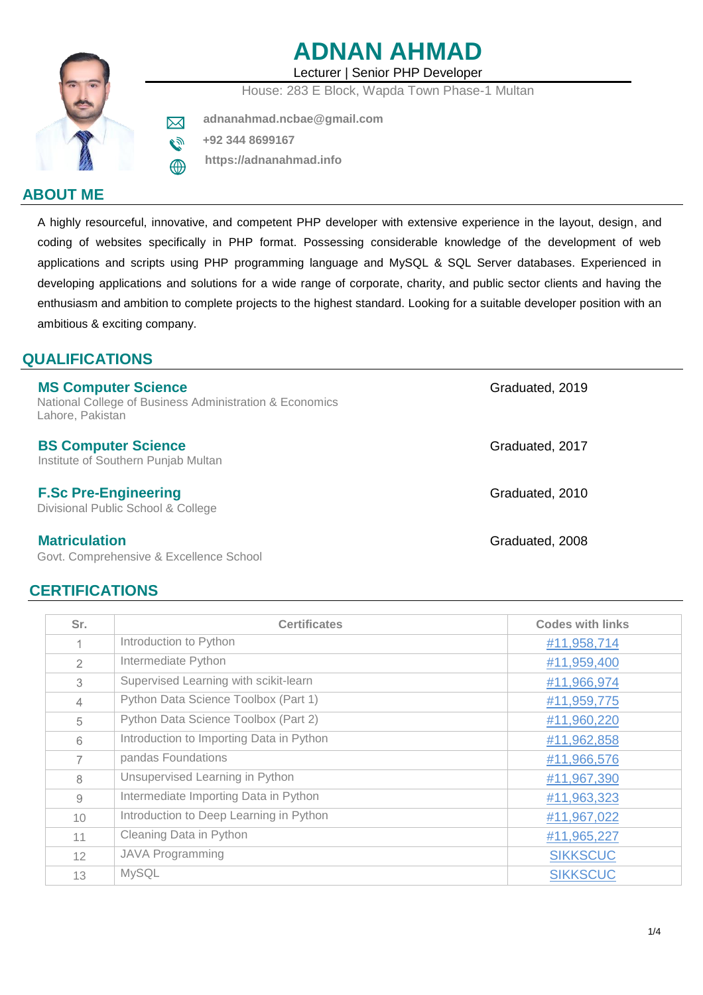# **ADNAN AHMAD**

Lecturer | Senior PHP Developer House: 283 E Block, Wapda Town Phase-1 Multan

 **adnanahmad.ncbae@gmail.com** 

 **+92 344 8699167** ٦Ď

⊠

 **https://adnanahmad.info**

# **ABOUT ME**

A highly resourceful, innovative, and competent PHP developer with extensive experience in the layout, design, and coding of websites specifically in PHP format. Possessing considerable knowledge of the development of web applications and scripts using PHP programming language and MySQL & SQL Server databases. Experienced in developing applications and solutions for a wide range of corporate, charity, and public sector clients and having the enthusiasm and ambition to complete projects to the highest standard. Looking for a suitable developer position with an ambitious & exciting company.

# **QUALIFICATIONS**

| <b>MS Computer Science</b><br>National College of Business Administration & Economics<br>Lahore, Pakistan                                             | Graduated, 2019 |
|-------------------------------------------------------------------------------------------------------------------------------------------------------|-----------------|
| <b>BS Computer Science</b><br>Institute of Southern Punjab Multan                                                                                     | Graduated, 2017 |
| <b>F.Sc Pre-Engineering</b><br>Divisional Public School & College                                                                                     | Graduated, 2010 |
| <b>Matriculation</b><br>$\bigcap_{i=1}^n A_i$ and $\bigcap_{i=1}^n A_i$ and $\bigcap_{i=1}^n A_i$ and $\bigcap_{i=1}^n A_i$ and $\bigcap_{i=1}^n A_i$ | Graduated, 2008 |

Govt. Comprehensive & Excellence School

# **CERTIFICATIONS**

| Sr.            | <b>Certificates</b>                      | <b>Codes with links</b> |
|----------------|------------------------------------------|-------------------------|
|                | Introduction to Python                   | #11,958,714             |
| $\mathfrak{D}$ | Intermediate Python                      | #11,959,400             |
| 3              | Supervised Learning with scikit-learn    | #11,966,974             |
| 4              | Python Data Science Toolbox (Part 1)     | #11,959,775             |
| 5              | Python Data Science Toolbox (Part 2)     | #11,960,220             |
| 6              | Introduction to Importing Data in Python | #11,962,858             |
| 7              | pandas Foundations                       | #11,966,576             |
| 8              | Unsupervised Learning in Python          | #11,967,390             |
| 9              | Intermediate Importing Data in Python    | #11,963,323             |
| 10             | Introduction to Deep Learning in Python  | #11,967,022             |
| 11             | Cleaning Data in Python                  | #11,965,227             |
| 12             | <b>JAVA Programming</b>                  | <b>SIKKSCUC</b>         |
| 13             | <b>MySQL</b>                             | <b>SIKKSCUC</b>         |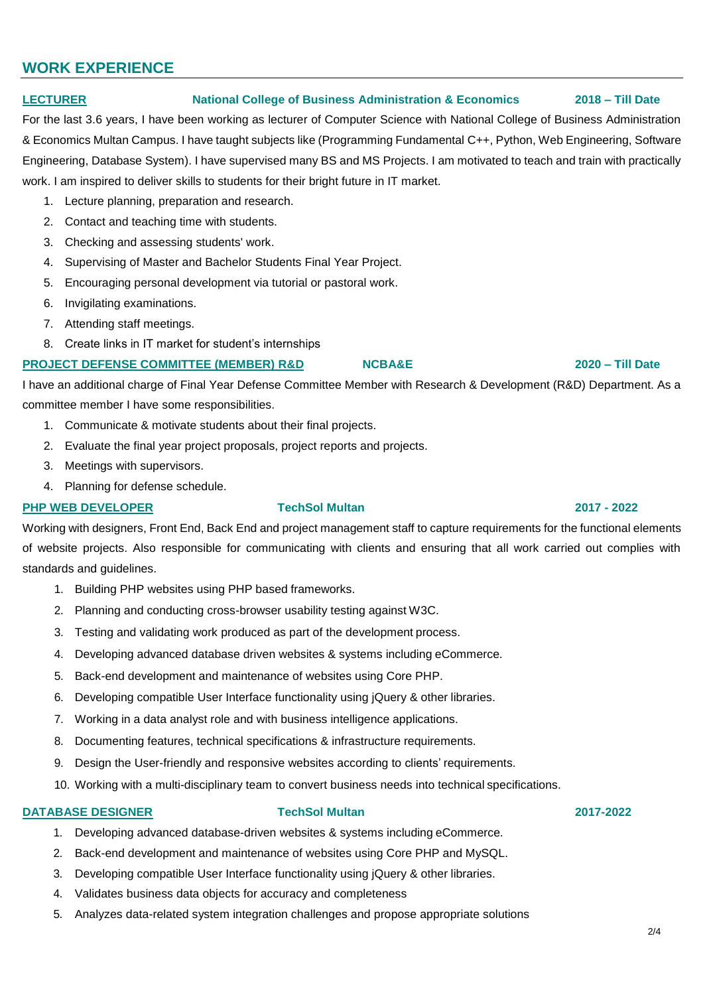# **WORK EXPERIENCE**

# **LECTURER National College of Business Administration & Economics 2018 – Till Date**

For the last 3.6 years, I have been working as lecturer of Computer Science with National College of Business Administration & Economics Multan Campus. I have taught subjects like (Programming Fundamental C++, Python, Web Engineering, Software Engineering, Database System). I have supervised many BS and MS Projects. I am motivated to teach and train with practically work. I am inspired to deliver skills to students for their bright future in IT market.

- 1. Lecture planning, preparation and research.
- 2. Contact and teaching time with students.
- 3. Checking and assessing students' work.
- 4. Supervising of Master and Bachelor Students Final Year Project.
- 5. Encouraging personal development via tutorial or pastoral work.
- 6. Invigilating examinations.
- 7. Attending staff meetings.
- 8. Create links in IT market for student's internships

# **PROJECT DEFENSE COMMITTEE (MEMBER) R&D NCBA&E 2020 – Till Date**

I have an additional charge of Final Year Defense Committee Member with Research & Development (R&D) Department. As a committee member I have some responsibilities.

- 1. Communicate & motivate students about their final projects.
- 2. Evaluate the final year project proposals, project reports and projects.
- 3. Meetings with supervisors.
- 4. Planning for defense schedule.

# **PHP WEB DEVELOPER TechSol Multan 2017 - 2022**

Working with designers, Front End, Back End and project management staff to capture requirements for the functional elements of website projects. Also responsible for communicating with clients and ensuring that all work carried out complies with standards and guidelines.

- 1. Building PHP websites using PHP based frameworks.
- 2. Planning and conducting cross-browser usability testing against W3C.
- 3. Testing and validating work produced as part of the development process.
- 4. Developing advanced database driven websites & systems including eCommerce.
- 5. Back-end development and maintenance of websites using Core PHP.
- 6. Developing compatible User Interface functionality using jQuery & other libraries.
- 7. Working in a data analyst role and with business intelligence applications.
- 8. Documenting features, technical specifications & infrastructure requirements.
- 9. Design the User-friendly and responsive websites according to clients' requirements.
- 10. Working with a multi-disciplinary team to convert business needs into technical specifications.

### **DATABASE DESIGNER TechSol Multan 2017-2022**

- 1. Developing advanced database-driven websites & systems including eCommerce.
- 2. Back-end development and maintenance of websites using Core PHP and MySQL.
- 3. Developing compatible User Interface functionality using jQuery & other libraries.
- 4. Validates business data objects for accuracy and completeness
- 5. Analyzes data-related system integration challenges and propose appropriate solutions

#### 2/4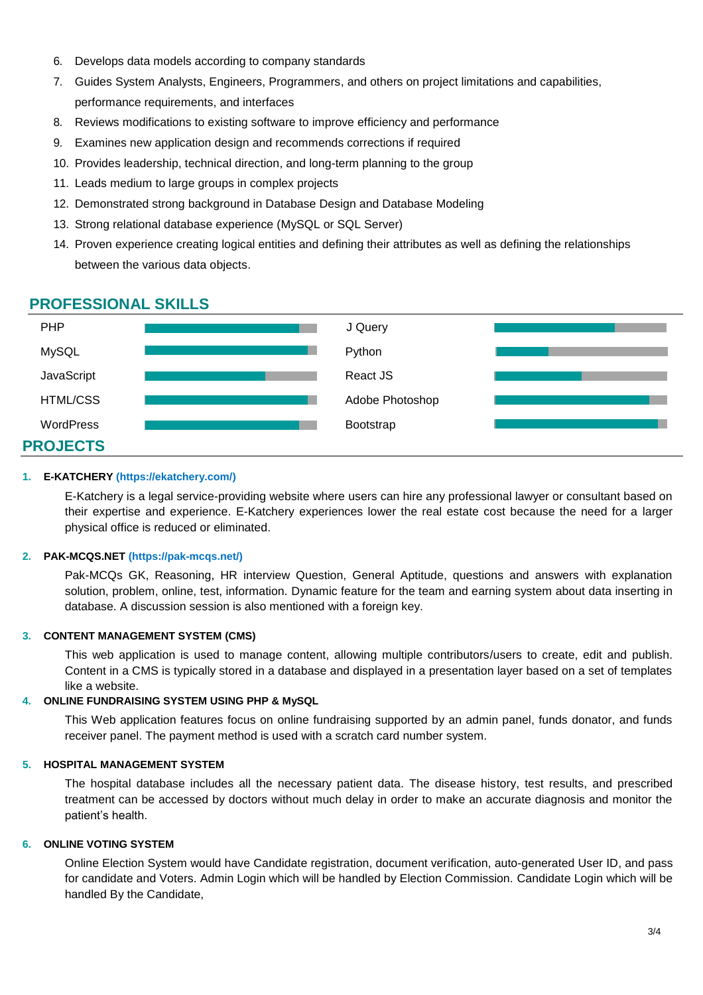- 6. Develops data models according to company standards
- 7. Guides System Analysts, Engineers, Programmers, and others on project limitations and capabilities, performance requirements, and interfaces
- 8. Reviews modifications to existing software to improve efficiency and performance
- 9. Examines new application design and recommends corrections if required
- 10. Provides leadership, technical direction, and long-term planning to the group
- 11. Leads medium to large groups in complex projects
- 12. Demonstrated strong background in Database Design and Database Modeling
- 13. Strong relational database experience (MySQL or SQL Server)
- 14. Proven experience creating logical entities and defining their attributes as well as defining the relationships between the various data objects.

# **PROFESSIONAL SKILLS**



### **1. E-KATCHERY (https://ekatchery.com/)**

E-Katchery is a legal service-providing website where users can hire any professional lawyer or consultant based on their expertise and experience. E-Katchery experiences lower the real estate cost because the need for a larger physical office is reduced or eliminated.

#### **2. PAK-MCQS.NET (https://pak-mcqs.net/)**

Pak-MCQs GK, Reasoning, HR interview Question, General Aptitude, questions and answers with explanation solution, problem, online, test, information. Dynamic feature for the team and earning system about data inserting in database. A discussion session is also mentioned with a foreign key.

#### **3. CONTENT MANAGEMENT SYSTEM (CMS)**

This web application is used to manage content, allowing multiple contributors/users to create, edit and publish. Content in a CMS is typically stored in a database and displayed in a presentation layer based on a set of templates like a website.

#### **4. ONLINE FUNDRAISING SYSTEM USING PHP & MySQL**

This Web application features focus on online fundraising supported by an admin panel, funds donator, and funds receiver panel. The payment method is used with a scratch card number system.

#### **5. HOSPITAL MANAGEMENT SYSTEM**

The hospital database includes all the necessary patient data. The disease history, test results, and prescribed treatment can be accessed by doctors without much delay in order to make an accurate diagnosis and monitor the patient's health.

### **6. ONLINE VOTING SYSTEM**

Online Election System would have Candidate registration, document verification, auto-generated User ID, and pass for candidate and Voters. Admin Login which will be handled by Election Commission. Candidate Login which will be handled By the Candidate,